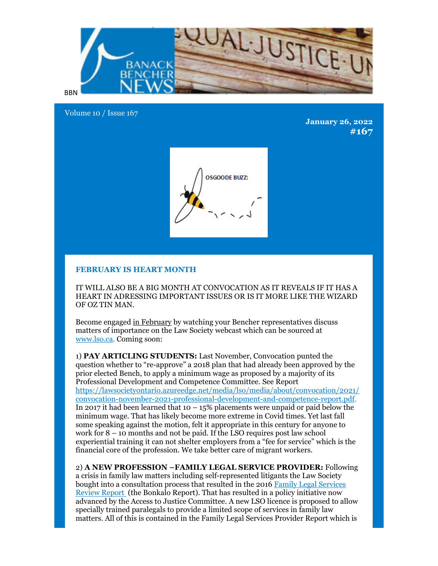

Volume 10 / Issue 167

**January 26, 2022 #167**



## **FEBRUARY IS HEART MONTH**

IT WILL ALSO BE A BIG MONTH AT CONVOCATION AS IT REVEALS IF IT HAS A HEART IN ADRESSING IMPORTANT ISSUES OR IS IT MORE LIKE THE WIZARD OF OZ TIN MAN.

Become engaged in February by watching your Bencher representatives discuss matters of importance on the Law Society webcast which can be sourced at www.lso.ca. Coming soon:

1) **PAY ARTICLING STUDENTS:** Last November, Convocation punted the question whether to "re-approve" a 2018 plan that had already been approved by the prior elected Bench, to apply a minimum wage as proposed by a majority of its Professional Development and Competence Committee. See Report https://lawsocietyontario.azureedge.net/media/lso/media/about/convocation/2021/ convocation-november-2021-professional-development-and-competence-report.pdf. In 2017 it had been learned that  $10 - 15\%$  placements were unpaid or paid below the minimum wage. That has likely become more extreme in Covid times. Yet last fall some speaking against the motion, felt it appropriate in this century for anyone to work for 8 – 10 months and not be paid. If the LSO requires post law school experiential training it can not shelter employers from a "fee for service" which is the financial core of the profession. We take better care of migrant workers.

2) **A NEW PROFESSION –FAMILY LEGAL SERVICE PROVIDER:** Following a crisis in family law matters including self-represented litigants the Law Society bought into a consultation process that resulted in the 2016 Family Legal Services Review Report (the Bonkalo Report). That has resulted in a policy initiative now advanced by the Access to Justice Committee. A new LSO licence is proposed to allow specially trained paralegals to provide a limited scope of services in family law matters. All of this is contained in the Family Legal Services Provider Report which is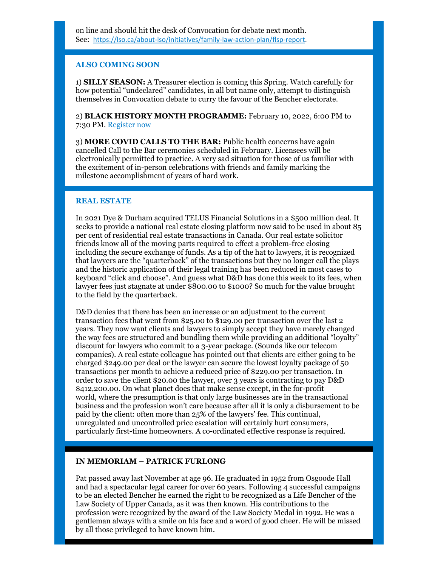## **ALSO COMING SOON**

1) **SILLY SEASON:** A Treasurer election is coming this Spring. Watch carefully for how potential "undeclared" candidates, in all but name only, attempt to distinguish themselves in Convocation debate to curry the favour of the Bencher electorate.

2) **BLACK HISTORY MONTH PROGRAMME:** February 10, 2022, 6:00 PM to 7:30 PM. Register now

3) **MORE COVID CALLS TO THE BAR:** Public health concerns have again cancelled Call to the Bar ceremonies scheduled in February. Licensees will be electronically permitted to practice. A very sad situation for those of us familiar with the excitement of in-person celebrations with friends and family marking the milestone accomplishment of years of hard work.

## **REAL ESTATE**

In 2021 Dye & Durham acquired TELUS Financial Solutions in a \$500 million deal. It seeks to provide a national real estate closing platform now said to be used in about 85 per cent of residential real estate transactions in Canada. Our real estate solicitor friends know all of the moving parts required to effect a problem-free closing including the secure exchange of funds. As a tip of the hat to lawyers, it is recognized that lawyers are the "quarterback" of the transactions but they no longer call the plays and the historic application of their legal training has been reduced in most cases to keyboard "click and choose". And guess what D&D has done this week to its fees, when lawyer fees just stagnate at under \$800.00 to \$1000? So much for the value brought to the field by the quarterback.

D&D denies that there has been an increase or an adjustment to the current transaction fees that went from \$25.00 to \$129.00 per transaction over the last 2 years. They now want clients and lawyers to simply accept they have merely changed the way fees are structured and bundling them while providing an additional "loyalty" discount for lawyers who commit to a 3-year package. (Sounds like our telecom companies). A real estate colleague has pointed out that clients are either going to be charged \$249.00 per deal or the lawyer can secure the lowest loyalty package of 50 transactions per month to achieve a reduced price of \$229.00 per transaction. In order to save the client \$20.00 the lawyer, over 3 years is contracting to pay D&D \$412,200.00. On what planet does that make sense except, in the for-profit world, where the presumption is that only large businesses are in the transactional business and the profession won't care because after all it is only a disbursement to be paid by the client: often more than 25% of the lawyers' fee. This continual, unregulated and uncontrolled price escalation will certainly hurt consumers, particularly first-time homeowners. A co-ordinated effective response is required.

## **IN MEMORIAM – PATRICK FURLONG**

Pat passed away last November at age 96. He graduated in 1952 from Osgoode Hall and had a spectacular legal career for over 60 years. Following 4 successful campaigns to be an elected Bencher he earned the right to be recognized as a Life Bencher of the Law Society of Upper Canada, as it was then known. His contributions to the profession were recognized by the award of the Law Society Medal in 1992. He was a gentleman always with a smile on his face and a word of good cheer. He will be missed by all those privileged to have known him.